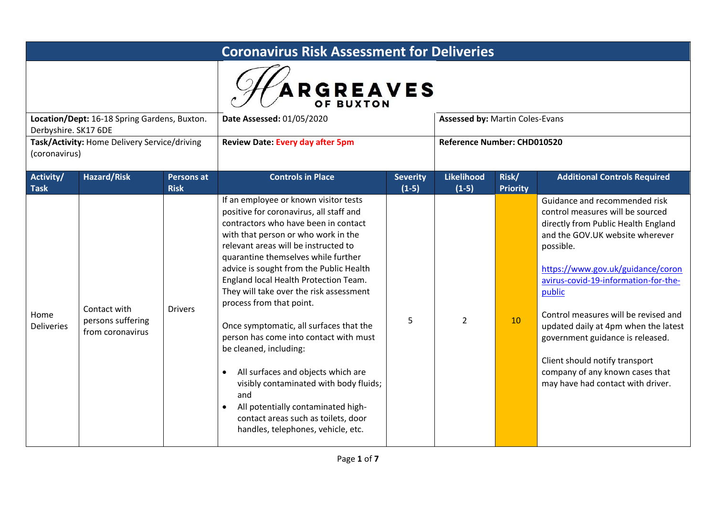|                          | <b>Coronavirus Risk Assessment for Deliveries</b>     |                                  |                                                                                                                                                                                                                                                                                                                                                                                                                                                                                                                                                                                                                                                                                                                                                              |                            |                                        |                          |                                                                                                                                                                                                                                                                                                                                                                                                                                                                               |  |  |
|--------------------------|-------------------------------------------------------|----------------------------------|--------------------------------------------------------------------------------------------------------------------------------------------------------------------------------------------------------------------------------------------------------------------------------------------------------------------------------------------------------------------------------------------------------------------------------------------------------------------------------------------------------------------------------------------------------------------------------------------------------------------------------------------------------------------------------------------------------------------------------------------------------------|----------------------------|----------------------------------------|--------------------------|-------------------------------------------------------------------------------------------------------------------------------------------------------------------------------------------------------------------------------------------------------------------------------------------------------------------------------------------------------------------------------------------------------------------------------------------------------------------------------|--|--|
|                          |                                                       |                                  | <b>ARGREAVES</b><br>OF BUXTON                                                                                                                                                                                                                                                                                                                                                                                                                                                                                                                                                                                                                                                                                                                                |                            |                                        |                          |                                                                                                                                                                                                                                                                                                                                                                                                                                                                               |  |  |
| Derbyshire. SK17 6DE     | Location/Dept: 16-18 Spring Gardens, Buxton.          |                                  | Date Assessed: 01/05/2020                                                                                                                                                                                                                                                                                                                                                                                                                                                                                                                                                                                                                                                                                                                                    |                            | <b>Assessed by: Martin Coles-Evans</b> |                          |                                                                                                                                                                                                                                                                                                                                                                                                                                                                               |  |  |
| (coronavirus)            | Task/Activity: Home Delivery Service/driving          |                                  | <b>Review Date: Every day after 5pm</b>                                                                                                                                                                                                                                                                                                                                                                                                                                                                                                                                                                                                                                                                                                                      |                            | Reference Number: CHD010520            |                          |                                                                                                                                                                                                                                                                                                                                                                                                                                                                               |  |  |
| Activity/<br><b>Task</b> | <b>Hazard/Risk</b>                                    | <b>Persons at</b><br><b>Risk</b> | <b>Controls in Place</b>                                                                                                                                                                                                                                                                                                                                                                                                                                                                                                                                                                                                                                                                                                                                     | <b>Severity</b><br>$(1-5)$ | <b>Likelihood</b><br>$(1-5)$           | Risk/<br><b>Priority</b> | <b>Additional Controls Required</b>                                                                                                                                                                                                                                                                                                                                                                                                                                           |  |  |
| Home<br>Deliveries       | Contact with<br>persons suffering<br>from coronavirus | <b>Drivers</b>                   | If an employee or known visitor tests<br>positive for coronavirus, all staff and<br>contractors who have been in contact<br>with that person or who work in the<br>relevant areas will be instructed to<br>quarantine themselves while further<br>advice is sought from the Public Health<br>England local Health Protection Team.<br>They will take over the risk assessment<br>process from that point.<br>Once symptomatic, all surfaces that the<br>person has come into contact with must<br>be cleaned, including:<br>All surfaces and objects which are<br>$\bullet$<br>visibly contaminated with body fluids;<br>and<br>All potentially contaminated high-<br>$\bullet$<br>contact areas such as toilets, door<br>handles, telephones, vehicle, etc. | 5                          | $\overline{2}$                         | 10                       | Guidance and recommended risk<br>control measures will be sourced<br>directly from Public Health England<br>and the GOV.UK website wherever<br>possible.<br>https://www.gov.uk/guidance/coron<br>avirus-covid-19-information-for-the-<br>public<br>Control measures will be revised and<br>updated daily at 4pm when the latest<br>government guidance is released.<br>Client should notify transport<br>company of any known cases that<br>may have had contact with driver. |  |  |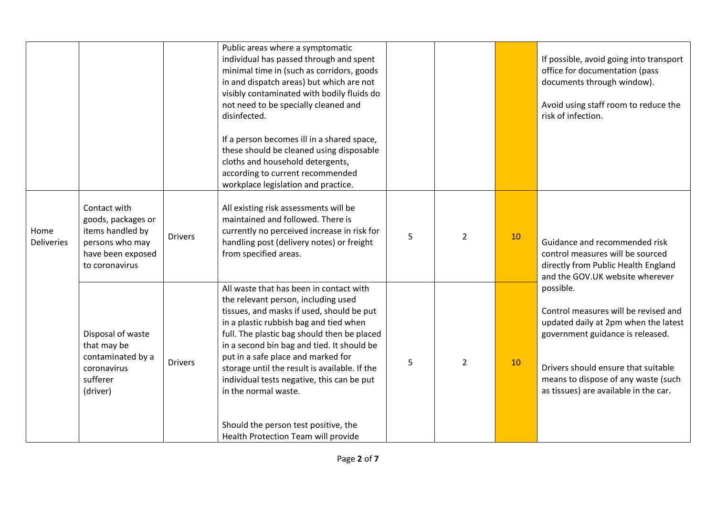|                           |                                                                                                                  |                | Public areas where a symptomatic<br>individual has passed through and spent<br>minimal time in (such as corridors, goods<br>in and dispatch areas) but which are not<br>visibly contaminated with bodily fluids do<br>not need to be specially cleaned and<br>disinfected.<br>If a person becomes ill in a shared space,<br>these should be cleaned using disposable<br>cloths and household detergents,<br>according to current recommended<br>workplace legislation and practice.                            |   |                |    | If possible, avoid going into transport<br>office for documentation (pass<br>documents through window).<br>Avoid using staff room to reduce the<br>risk of infection.                                                                                |
|---------------------------|------------------------------------------------------------------------------------------------------------------|----------------|----------------------------------------------------------------------------------------------------------------------------------------------------------------------------------------------------------------------------------------------------------------------------------------------------------------------------------------------------------------------------------------------------------------------------------------------------------------------------------------------------------------|---|----------------|----|------------------------------------------------------------------------------------------------------------------------------------------------------------------------------------------------------------------------------------------------------|
| Home<br><b>Deliveries</b> | Contact with<br>goods, packages or<br>items handled by<br>persons who may<br>have been exposed<br>to coronavirus | <b>Drivers</b> | All existing risk assessments will be<br>maintained and followed. There is<br>currently no perceived increase in risk for<br>handling post (delivery notes) or freight<br>from specified areas.                                                                                                                                                                                                                                                                                                                | 5 | $\overline{2}$ | 10 | Guidance and recommended risk<br>control measures will be sourced<br>directly from Public Health England<br>and the GOV.UK website wherever                                                                                                          |
|                           | Disposal of waste<br>that may be<br>contaminated by a<br>coronavirus<br>sufferer<br>(driver)                     | <b>Drivers</b> | All waste that has been in contact with<br>the relevant person, including used<br>tissues, and masks if used, should be put<br>in a plastic rubbish bag and tied when<br>full. The plastic bag should then be placed<br>in a second bin bag and tied. It should be<br>put in a safe place and marked for<br>storage until the result is available. If the<br>individual tests negative, this can be put<br>in the normal waste.<br>Should the person test positive, the<br>Health Protection Team will provide | 5 | $\overline{2}$ | 10 | possible.<br>Control measures will be revised and<br>updated daily at 2pm when the latest<br>government guidance is released.<br>Drivers should ensure that suitable<br>means to dispose of any waste (such<br>as tissues) are available in the car. |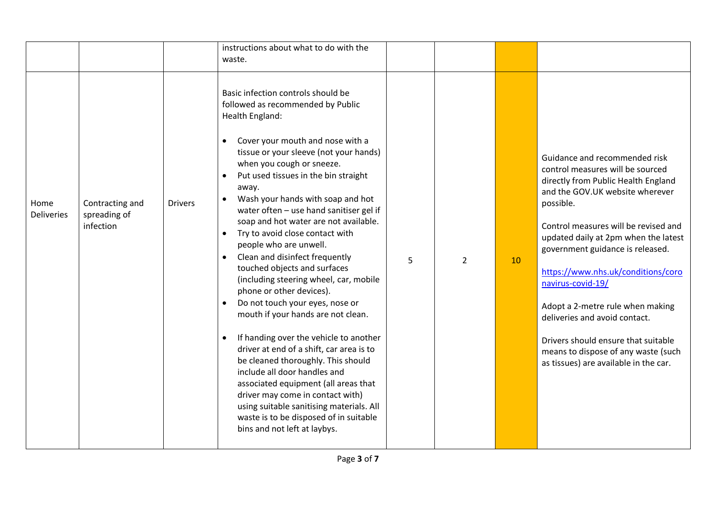|                           |                                              |                | instructions about what to do with the<br>waste.                                                                                                                                                                                                                                                                                                                                                                                                                                                                                                                                                                                                                                                                                                                                                                                                                                                                                                                                                                                                                                |   |                |    |                                                                                                                                                                                                                                                                                                                                                                                                                                                                                                                                     |
|---------------------------|----------------------------------------------|----------------|---------------------------------------------------------------------------------------------------------------------------------------------------------------------------------------------------------------------------------------------------------------------------------------------------------------------------------------------------------------------------------------------------------------------------------------------------------------------------------------------------------------------------------------------------------------------------------------------------------------------------------------------------------------------------------------------------------------------------------------------------------------------------------------------------------------------------------------------------------------------------------------------------------------------------------------------------------------------------------------------------------------------------------------------------------------------------------|---|----------------|----|-------------------------------------------------------------------------------------------------------------------------------------------------------------------------------------------------------------------------------------------------------------------------------------------------------------------------------------------------------------------------------------------------------------------------------------------------------------------------------------------------------------------------------------|
| Home<br><b>Deliveries</b> | Contracting and<br>spreading of<br>infection | <b>Drivers</b> | Basic infection controls should be<br>followed as recommended by Public<br>Health England:<br>Cover your mouth and nose with a<br>$\bullet$<br>tissue or your sleeve (not your hands)<br>when you cough or sneeze.<br>Put used tissues in the bin straight<br>away.<br>Wash your hands with soap and hot<br>water often - use hand sanitiser gel if<br>soap and hot water are not available.<br>Try to avoid close contact with<br>$\bullet$<br>people who are unwell.<br>Clean and disinfect frequently<br>$\bullet$<br>touched objects and surfaces<br>(including steering wheel, car, mobile<br>phone or other devices).<br>Do not touch your eyes, nose or<br>mouth if your hands are not clean.<br>If handing over the vehicle to another<br>$\bullet$<br>driver at end of a shift, car area is to<br>be cleaned thoroughly. This should<br>include all door handles and<br>associated equipment (all areas that<br>driver may come in contact with)<br>using suitable sanitising materials. All<br>waste is to be disposed of in suitable<br>bins and not left at laybys. | 5 | $\overline{2}$ | 10 | Guidance and recommended risk<br>control measures will be sourced<br>directly from Public Health England<br>and the GOV.UK website wherever<br>possible.<br>Control measures will be revised and<br>updated daily at 2pm when the latest<br>government guidance is released.<br>https://www.nhs.uk/conditions/coro<br>navirus-covid-19/<br>Adopt a 2-metre rule when making<br>deliveries and avoid contact.<br>Drivers should ensure that suitable<br>means to dispose of any waste (such<br>as tissues) are available in the car. |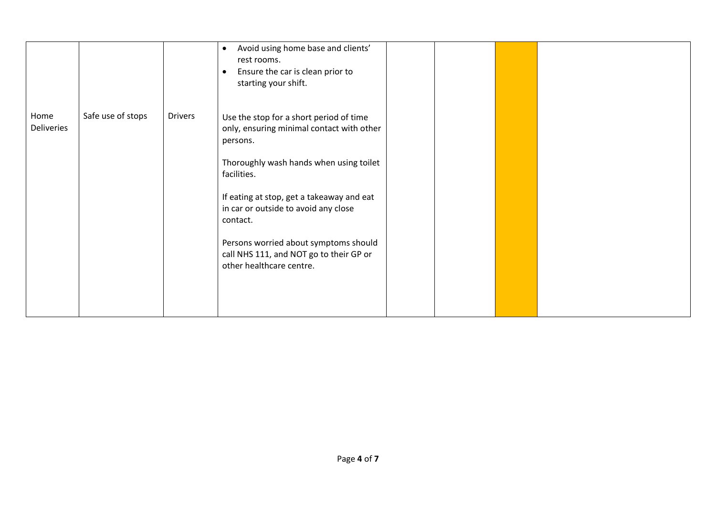|                    |                   |                | Avoid using home base and clients'<br>$\bullet$<br>rest rooms.<br>Ensure the car is clean prior to<br>$\bullet$<br>starting your shift.                                                                                                                                                                                                                                     |  |  |
|--------------------|-------------------|----------------|-----------------------------------------------------------------------------------------------------------------------------------------------------------------------------------------------------------------------------------------------------------------------------------------------------------------------------------------------------------------------------|--|--|
| Home<br>Deliveries | Safe use of stops | <b>Drivers</b> | Use the stop for a short period of time<br>only, ensuring minimal contact with other<br>persons.<br>Thoroughly wash hands when using toilet<br>facilities.<br>If eating at stop, get a takeaway and eat<br>in car or outside to avoid any close<br>contact.<br>Persons worried about symptoms should<br>call NHS 111, and NOT go to their GP or<br>other healthcare centre. |  |  |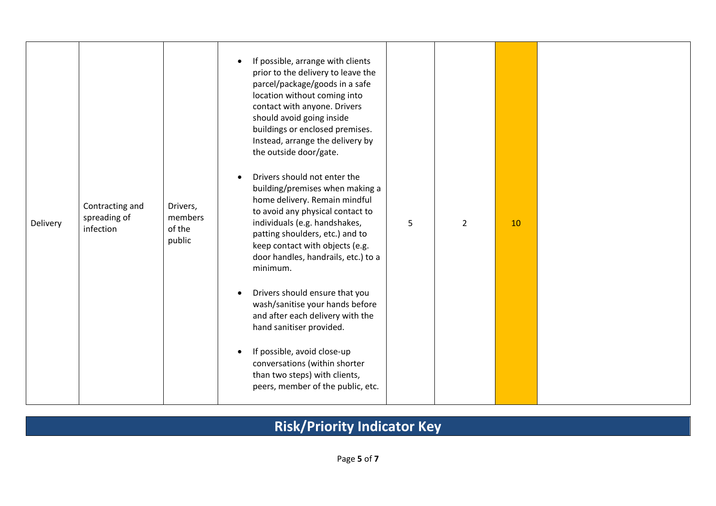| Contracting and<br>spreading of<br>Delivery<br>infection |  | Drivers,<br>members<br>of the<br>public | If possible, arrange with clients<br>prior to the delivery to leave the<br>parcel/package/goods in a safe<br>location without coming into<br>contact with anyone. Drivers<br>should avoid going inside<br>buildings or enclosed premises.<br>Instead, arrange the delivery by<br>the outside door/gate.<br>Drivers should not enter the<br>building/premises when making a<br>home delivery. Remain mindful<br>to avoid any physical contact to<br>individuals (e.g. handshakes,<br>patting shoulders, etc.) and to<br>keep contact with objects (e.g.<br>door handles, handrails, etc.) to a<br>minimum.<br>Drivers should ensure that you<br>wash/sanitise your hands before<br>and after each delivery with the<br>hand sanitiser provided.<br>If possible, avoid close-up<br>conversations (within shorter<br>than two steps) with clients,<br>peers, member of the public, etc. | 5 | $\overline{2}$ | 10 |  |
|----------------------------------------------------------|--|-----------------------------------------|--------------------------------------------------------------------------------------------------------------------------------------------------------------------------------------------------------------------------------------------------------------------------------------------------------------------------------------------------------------------------------------------------------------------------------------------------------------------------------------------------------------------------------------------------------------------------------------------------------------------------------------------------------------------------------------------------------------------------------------------------------------------------------------------------------------------------------------------------------------------------------------|---|----------------|----|--|
|----------------------------------------------------------|--|-----------------------------------------|--------------------------------------------------------------------------------------------------------------------------------------------------------------------------------------------------------------------------------------------------------------------------------------------------------------------------------------------------------------------------------------------------------------------------------------------------------------------------------------------------------------------------------------------------------------------------------------------------------------------------------------------------------------------------------------------------------------------------------------------------------------------------------------------------------------------------------------------------------------------------------------|---|----------------|----|--|

## **Risk/Priority Indicator Key**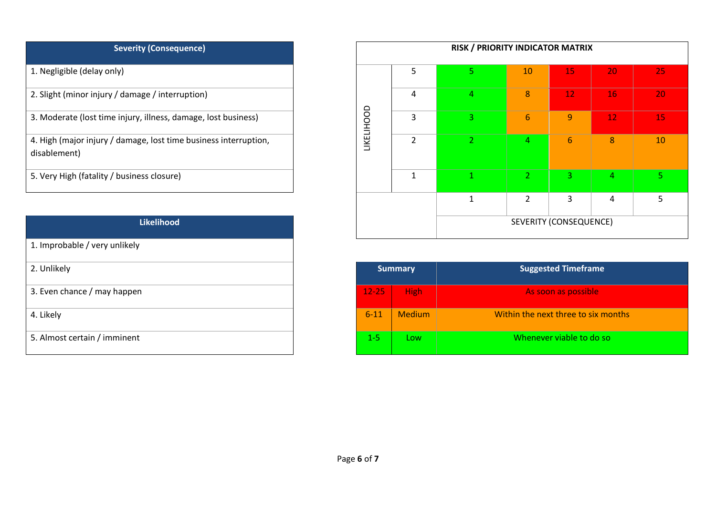| <b>Severity (Consequence)</b>                                                    |
|----------------------------------------------------------------------------------|
| 1. Negligible (delay only)                                                       |
| 2. Slight (minor injury / damage / interruption)                                 |
| 3. Moderate (lost time injury, illness, damage, lost business)                   |
| 4. High (major injury / damage, lost time business interruption,<br>disablement) |
| 5. Very High (fatality / business closure)                                       |

| <b>Likelihood</b>             |           |                | SEVERITY (CONSEQUENCE           |
|-------------------------------|-----------|----------------|---------------------------------|
| 1. Improbable / very unlikely |           |                |                                 |
| 2. Unlikely                   |           | <b>Summary</b> | <b>Suggested Timeframe</b>      |
| 3. Even chance / may happen   | $12 - 25$ | <b>High</b>    | As soon as possible             |
| 4. Likely                     | $6 - 11$  | <b>Medium</b>  | Within the next three to six mo |
| 5. Almost certain / imminent  | $1 - 5$   | Low            | Whenever viable to do so        |

| <b>Severity (Consequence)</b>                                                    |                   |                | <b>RISK / PRIORITY INDICATOR MATRIX</b> |                |                        |                |    |
|----------------------------------------------------------------------------------|-------------------|----------------|-----------------------------------------|----------------|------------------------|----------------|----|
| 1. Negligible (delay only)                                                       |                   | 5              |                                         | 10             | 15                     | 20             | 25 |
| 2. Slight (minor injury / damage / interruption)                                 |                   | 4              | 4                                       | 8              | 12                     | 16             | 20 |
| 3. Moderate (lost time injury, illness, damage, lost business)                   | <b>LIKELIHOOD</b> | 3              | 3.                                      | 6              | $\overline{9}$         | 12             | 15 |
| 4. High (major injury / damage, lost time business interruption,<br>disablement) |                   | $\overline{2}$ | $\overline{2}$                          | 4              | 6                      | 8 <sup>1</sup> | 10 |
| 5. Very High (fatality / business closure)                                       |                   | 1              | $\mathbf{1}$                            | 2 <sup>1</sup> | 3                      | 4              | 5. |
|                                                                                  |                   |                |                                         | 2              | 3                      | 4              | 5  |
| <b>Likelihood</b>                                                                |                   |                |                                         |                | SEVERITY (CONSEQUENCE) |                |    |

| 2. Unlikely                  | <b>Summary</b> |               | <b>Suggested Timeframe</b>          |
|------------------------------|----------------|---------------|-------------------------------------|
| 3. Even chance / may happen  | $12 - 25$      | <b>High</b>   | As soon as possible                 |
| 4. Likely                    | $6 - 11$       | <b>Medium</b> | Within the next three to six months |
| 5. Almost certain / imminent | $1 - 5$        | <b>LOW</b>    | Whenever viable to do so            |